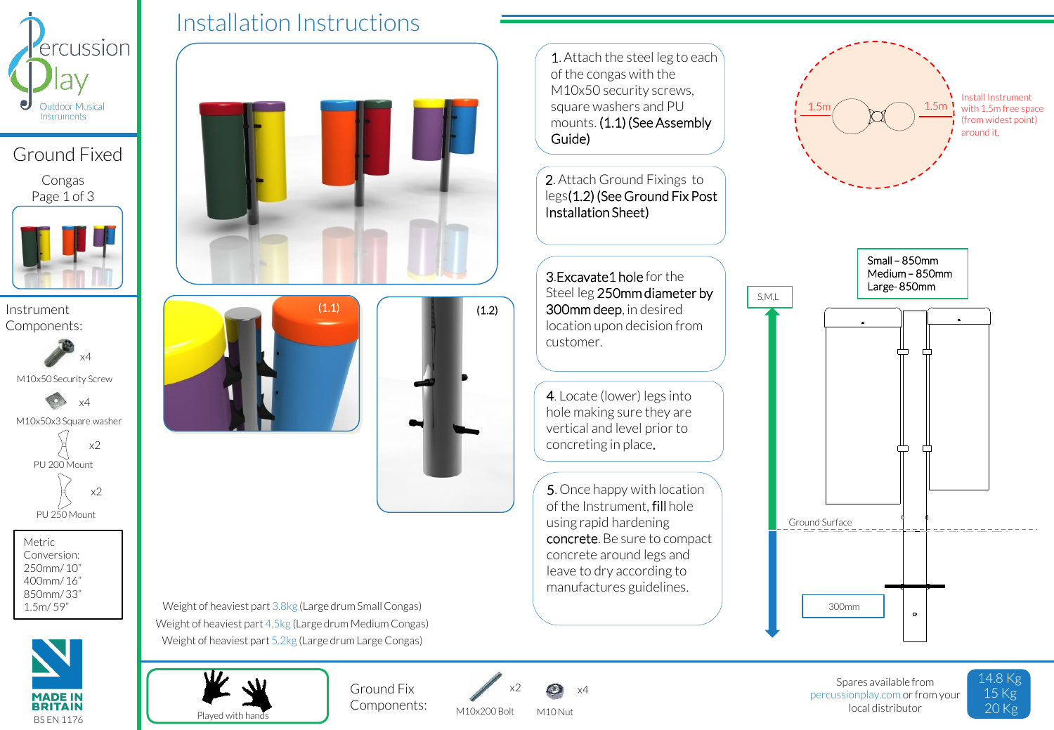

## Ground Fixed

Congas Page 1 of 3



Components:



M10x50 Security Screw



Metric Conversion: 250mm/ 10" 400mm/ 16" 850mm/ 33" 1.5m/ 59"



Installation Instructions





Weight of heaviest part 3.8kg (Large drum Small Congas) Weight of heaviest part 4.5kg (Large drum Medium Congas) Weight of heaviest part 5.2kg (Large drum Large Congas)



Components:



M10x200 Bolt M10 Nut

1. Attach the steel leg to each of the congas with the M10x50 security screws, square washers and PU mounts. (1.1) (See Assembly Guide)

2. Attach Ground Fixings to legs(1.2) (See Ground Fix Post Installation Sheet)

3.Excavate1 hole for the Steel leg 250mm diameter by 300mm deep, in desired location upon decision from customer.

4. Locate (lower) legs into hole making sure they are vertical and level prior to concreting in place.

5. Once happy with location of the Instrument, fill hole using rapid hardening concrete. Be sure to compact concrete around legs and leave to dry according to manufactures guidelines.



Spares available from percussionplay.com or from your local distributor

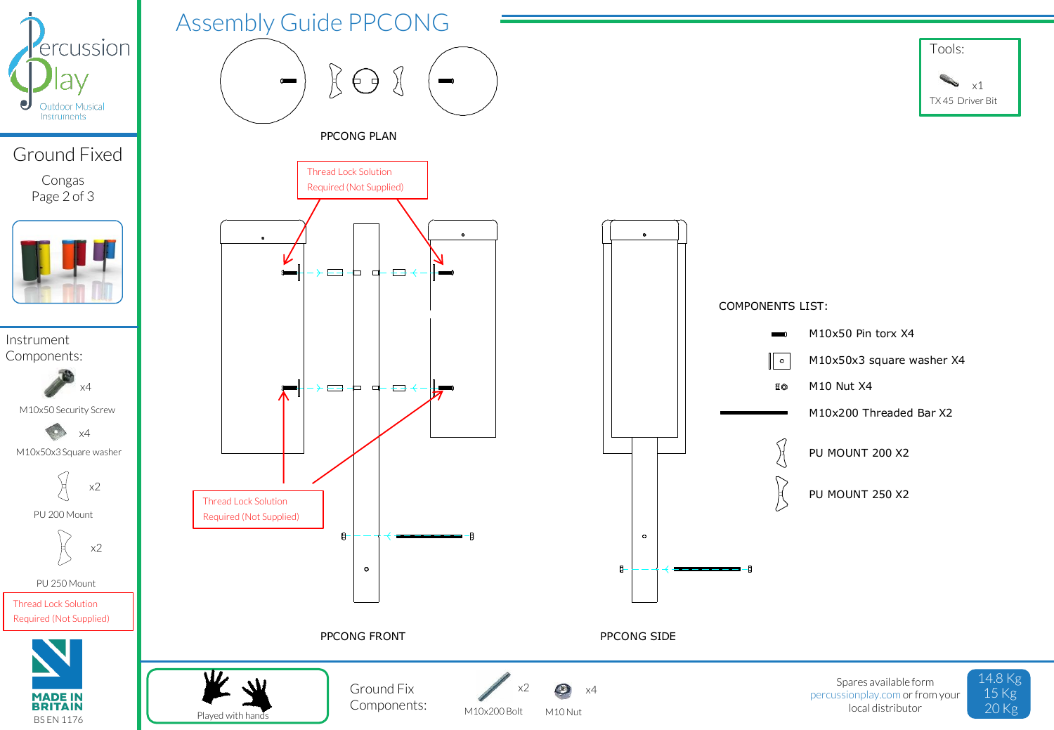